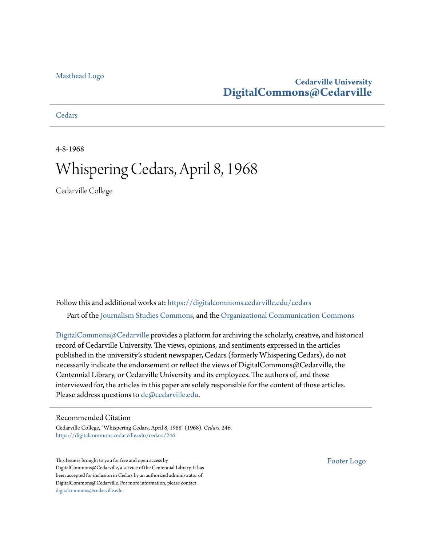#### [Masthead Logo](http://www.cedarville.edu/?utm_source=digitalcommons.cedarville.edu%2Fcedars%2F246&utm_medium=PDF&utm_campaign=PDFCoverPages)

### **Cedarville University [DigitalCommons@Cedarville](https://digitalcommons.cedarville.edu?utm_source=digitalcommons.cedarville.edu%2Fcedars%2F246&utm_medium=PDF&utm_campaign=PDFCoverPages)**

**[Cedars](https://digitalcommons.cedarville.edu/cedars?utm_source=digitalcommons.cedarville.edu%2Fcedars%2F246&utm_medium=PDF&utm_campaign=PDFCoverPages)** 

4-8-1968

## Whispering Cedars, April 8, 1968

Cedarville College

Follow this and additional works at: [https://digitalcommons.cedarville.edu/cedars](https://digitalcommons.cedarville.edu/cedars?utm_source=digitalcommons.cedarville.edu%2Fcedars%2F246&utm_medium=PDF&utm_campaign=PDFCoverPages) Part of the [Journalism Studies Commons](http://network.bepress.com/hgg/discipline/333?utm_source=digitalcommons.cedarville.edu%2Fcedars%2F246&utm_medium=PDF&utm_campaign=PDFCoverPages), and the [Organizational Communication Commons](http://network.bepress.com/hgg/discipline/335?utm_source=digitalcommons.cedarville.edu%2Fcedars%2F246&utm_medium=PDF&utm_campaign=PDFCoverPages)

[DigitalCommons@Cedarville](http://digitalcommons.cedarville.edu/) provides a platform for archiving the scholarly, creative, and historical record of Cedarville University. The views, opinions, and sentiments expressed in the articles published in the university's student newspaper, Cedars (formerly Whispering Cedars), do not necessarily indicate the endorsement or reflect the views of DigitalCommons@Cedarville, the Centennial Library, or Cedarville University and its employees. The authors of, and those interviewed for, the articles in this paper are solely responsible for the content of those articles. Please address questions to [dc@cedarville.edu.](mailto:dc@cedarville.edu)

#### Recommended Citation

Cedarville College, "Whispering Cedars, April 8, 1968" (1968). *Cedars*. 246. [https://digitalcommons.cedarville.edu/cedars/246](https://digitalcommons.cedarville.edu/cedars/246?utm_source=digitalcommons.cedarville.edu%2Fcedars%2F246&utm_medium=PDF&utm_campaign=PDFCoverPages)

This Issue is brought to you for free and open access by DigitalCommons@Cedarville, a service of the Centennial Library. It has been accepted for inclusion in Cedars by an authorized administrator of DigitalCommons@Cedarville. For more information, please contact [digitalcommons@cedarville.edu](mailto:digitalcommons@cedarville.edu).

[Footer Logo](http://www.cedarville.edu/Academics/Library.aspx?utm_source=digitalcommons.cedarville.edu%2Fcedars%2F246&utm_medium=PDF&utm_campaign=PDFCoverPages)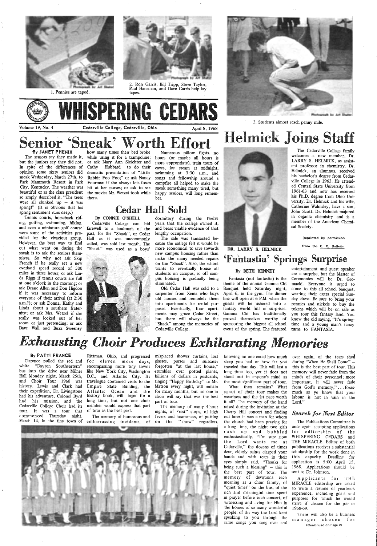

1. Pennies are taped.



2. Ron Garris, Bill Tripp, Steve Taylor, Paul Hansman, and Dave Garris help lay tapes.

## Senior 'Sneak' Worth Effort '8y JANET PHENIX



The seniors say they made it, but the juniors say they did not. In spite of the differences of opinion some sixty seniors did sneak Wednesday, March 27th, to Park Mammoth Resort in Park Fourman if she always lets foxes City, Kentucky. The weather was beautiful or as the class president so amply described it, "The trees were all clunked  $up$  - it was spring!" (It is obvious that his spring sentiment runs deep.)

Tennis courts, horseback rid: ing, golfmg, swimming, hiking, and even a miniature golf course were some of the activities provided for the vivacious group. However, the best way to find out what went on during the sneak is to ask the seniors themselves. So why not ask Skip French if he really set a new overland speed record of 300 miles in three hours; or ask Linda Riggs if tennis courts are full at one o'clock in the morning; or ask Deane Allen and Don Higdon if it was necessary to inform everyone of their arrival (at 2:30 a.m.?); or ask Donna, Kathy and Linda about a southern fraternity; or ask Mrs. Wetzel if she really was locked out of her room or just pretending; or ask Dave Wall and Buzz Sweeney

 $\frac{1}{2}$ 

## Helmick Joins Staff The Cedarville College family

how many times their bed broke while using it for a trampoline; or ask Mary Ann Sleichter and Cathy Hubbard to do their dramatic presentation of "Little Rabbit Foo Foo;" or ask Nancy bit at her purses; or ask to see the movies Mr. Wetzel took while there.

Numerous pillow fights, no hours (or maybe all hours is more appropriate), train tours of caves, ice cream at midnight, swimming at 3:30 a.m., and songs and fellowship around a campfire all helped to make the sneak something many tired, but happy seniors, will long remember.

> entertainment and guest speaker are a surprise, but the Master of Ceremonies will be Dr. Gromacki. Everyone is urged to come to this all school banquet, wearing their extra special Sunday dress. Be sure to bring your pennies and nickels to buy the tokens which will be on sale as you tour this fantasy land. You know the old saying, "It's springtime and a young man's fancy turns to FANTASIA.

# *Exhausting Choir Produces Exhilarating Memories*

## Cedar Hall Sold

By CONNIE O'SHELL

Cedarville College can bid farewell to a landmark of the past, for the "Shack", or Cedar Hall as it was uncommonly called, was sold last month. The "Shack" was used as a boys'

Clarence pulled the red and white "Dayton Southeastern" bus into the drive near Milner like New York City, Washington history. Lewis and Clark had their expedition, Dr. Livingstone had his adventure, Colonel Byrd history book, will linger for a had his mission, and the long time, but not one choir

dormitory during the twelve years that the college owned it, and bears visable evidence of that lengthy occupation.

The sale was transacted because the college felt it would be more economical to save towards new campus housing rather than make the many· needed repairs on the "Shack". Also, the school wants to eventually house all students on campus, so off cam- pus housing is gradually being eliminated.

Old Cedar Hall was sold to a carpenter from Xenia who buys old houses and remodels them into apartments for rental purposes. Eventually, four apartments may grace Cedar Street, but there will always be the "Shack" among the memories of Cedarville College.



3. Students almost reach penny mile.



DR. LARRY S. HELMICK

welcomes a new member, Dr. LARRY S. HELMICK, as assistant professor in chemistry. Dr.

Helmick, an alumnus, received his bachelor's degree from Cedarville College in 1963. He attended Central State University from 1961-63 and now has received his Ph.D. degree from Ohio University. Dr. Helmick and his wife, Catherine Walmsley, have a son, John Scott. Dr. Helmick majored in organic chemistry and is <sup>a</sup> member of the American Chemical Society.

#### (reprinted by permission

over again, of the tears shed during "When He Shall Come" this is the best part of tour. This memory will never fade from the minds of choir personnel; more important, it will never fade from God's memory," ... forasmuch as ye know that your labour is not in vain in the Lord."



from the C. C. Bulletin

'Fantastia' Springs Surprise

#### By BETH BENNET

Fantasia (not fantastic) is the theme of the annual Gamma Chi Banquet held Saturday night, April 6, in the gym. The dinner line will open at 6 P.M. when the guests will be ushered into a fantasy world full of surprises. Gamma Chi has traditionally proved themselves worthy of sponsoring the biggest all school event of the spring. The featured

#### By PATTI FRANCE

Hall Monday night, March 25th, D.C., and Atlantic City. Its and Choir Tour 1968 was travelogue contained visits to the for eleven more days, encompassing more tiny towns Empire State Building, the Atlantic Ocean and the

Rittman, Ohio, and progressed misplaced shower curtains, lost glasses, purses and suitcases forgotten "at the last house," ·stumbles over potted plants, billions of dollars in postcards, singing "Happy Birthday" to Mr. Matson every night, will remain for many months, but no one in choir will say that was the best part of tour.

knowing no one cared how much sleep you had or how far you traveled that day. This will last a long time too, yet it does not stand out in anyone's mind as the most significant part of tour.

The memory of many 4-hour raised during the invitation at the What then remains? What aspect of choir tour makes the weariness and the jet pace worth it all? The memory of the hand

Cedarville College Choir had its member would express that part tour. It was a tour that of tour as the best part. commenced Thursday night, March 14, in the tiny town of embarrassing incidents, of on the "show" regardless, The memory of humorous and fevers and hoarseness, of putting nights, of ''rest" stops, of high Cherry Hill concert and finding *Search for Next Editor* 

out later it was a man for whom the church had been praying for a long time, the night two girls rush up and bubbled enthusiastically, "I'm sure now the Lord wants me at Cedarville," the dozens of times dear, elderly saints clasped your hands and with tears in their eyes simply said, "Thanks for being such a blessing"  $-$  this is the best part of tour. The memory of devotions each morning as a choir family, of "quiet times" on the bus, of the rich and meaningful time spent in prayer before each concert, of witnessing and living for Him in the homes of so many wonderful people, of the way the Lord kept speaking to you through the same songs you sang over and

The Publications Committee is once again accepting applications for editorship of the WHISPERING CEDARS and THE MIRACLE. Editor of both publications receives a substantial scholarship for the work done in this capacity. Deadline for application is 5:00 April 15, 1968. Applications should be sent to Dr. Johnson.

Applicants for THE MIRACLE editorship are asked to write a resume of yearbook experience, including goals and purposes for which he would strive if chosen for the job in 1968-69.

There will also be a business manager chosen for (Continued on Page 2)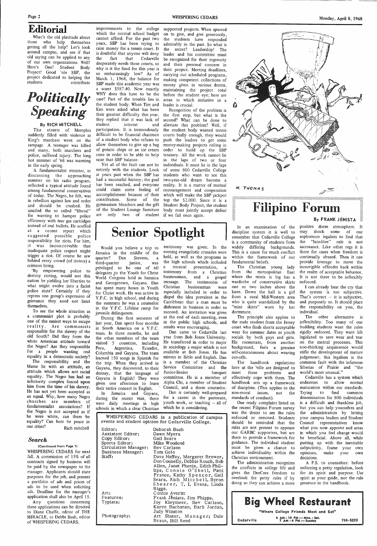What's the old platitude about those who help themselves getting all the help? Let's look around campus, and see if that old saying can be applied to any of our own organizations. Well! Here's One! Student Body Project! Good 'ole SBP, the project dedicated to helping the students contribute

## Editorial

## *Politically Speaking*

#### By RICH MITCHELL

The streets of Memphis suddenly filled with violence as King's marchers went on the rampage. A teenager was killed and many, both marchers and police, suffered injury. The long hot summer of '68 was warming in the early spring.

which the normal school budget cannot afford. For the past two years, SBP has been trying to raise money for a tennis court. It is doubtful that anyone will deny<br>the fact that Cedarville the fact that Cedarville desperately needs these courts, so why is it the fund for this year is so embarassingly low? As of March 1, 1968, the balance for a scant \$587.40. Now exactly WHY does this have to be the case? Part of the trouble lies in the student body. When Tim and Ken were asked what has been their greatest difficulty this year, they replied that it was lack of student interest and

improvements to the college supported projects. When spurred SBP made this academic year was money given in various dorms, on to give, and give generously, the students have responded admirably in the past. So what is the secret? Leadership! The leader and his committee must be recognized for their ingenuity and their personal concern in their project. Meeting deadlines, carrying out scheduled programs, making competent collections of maintaining the project total before the student eye; here are areas in which initiative in a leader is crucial.

participation. It is tremendously difficult to be financial chairmen of a student body who refuses to allow themselves to give up a bag of potato chips or an ice cream cone in order to be able to help raise that SBP balance.

A fundamentalist minister, in discussing the approaching summer on his radio program, reflected a typical attitude found among fundamental conservatives of today. The Negro, he felt, was in rebellion against law and order and should be crushed. He assailed the so called "liberal" distance the so-called hold hold are<br>for wanting to hamper police are<br>efficiency with tear gas cartridges<br>instead of real bullets. He scoffed efficiency with tear gas cartridges at a recent report which suggested possible police responsibility for riots. For him, it was inconceivable that inadequate police respect might trigger a riot. Of course he saw behind every crowd (of rioters) a crimson lining.

Yet all of the fault can not be entirely with the students. Look at years past when the SBP has had a successful history; the goal has been reached, and everyone could claim some feeling of accomplishment because of their which will make the SBP jackpot contribution. Some of the top the \$2,000. Since it is <sup>a</sup> gymnasium bleachers and the gift Student Body Project, the student of the Student Lounge furniture body must jointly accept defeat are only two of student if we fail once again.

Recognition of the problem is the first step, but what is the second? What can be done to alleviate this problem? Well, if the student body wanted tennis courts badly enough, they would push the leaders to get some money-making projects rolling in order to build up the SBP treasury. All the work cannot lie in the laps of two or four individuals. It must lie in the laps of some 800 Cedarville College students who want to see this two-year-old dream become a reality. It is a matter of mutual encouragement and cooperation

## Senior Spotlight

~y empowering police to destroy rioting, would not this nation be yielding her liberties to what might evolve into a facist police state? Certainly if they repress one group's expression of grievance they need not limit themselves.

discipline system it is well to remember that Cedarville College is a community of students from widely differing backgrounds. This is a cause for much conflict within the framework of our fundamental beliefs.

**Filipino Forum** 

N. THOMAS

300000000000000

. To see the whole situation as a communist plot is probably one of the easiest ways to escape reality. Are communists responsible for the slavery of the old South? Did they form the white American attitude toward the Negro? Are they responsible for a people wanting real equality in a democratic society?

The Christian young lady from the metropolitan East where the minis is big has a wardrobe of conservative skirts one· or two inches above the knee. Down the hall is a girl from a rural Mid-Western area who is quite scandalized by the "mini skirts" worn by her dormmate.

The responsibility and the blame lie with an attitude, an attitude which allows not racial equality. The Negro has had an inferiority complex forced upon him from the time of his slavery. He has not yet been accepted as an equal. Why, how many Negro churches are members of fundamentalist associations? If the Negro is not accepted as if

he were white, can there be equality? Can here be peace in our cities? Rich mitchell

#### *Search*

(Continued from Page 1) -WHISPERING CEDARS for next fall. A commission of 15% of all contracts signed by business will be paid by the newspaper to the manager. Applicants should state purposes for the job, and present a portfolio of ads and prices of ads to be used when soliciting ads. Deadline for the manager's application shall also be April 15. Any questions concerning

these applications can be directed to Diane Chaffe, editor of THE MIRACLE, or Debbi Bush, editor of WHISPERING CEDARS.

Would you believe a trip to Jamaica in the middle of the quarter? Dan Stevens, a third-quarter junior, was privileged to be one of 60 delegates *,!o* the Youth for Christ World Congress held in Jamaica and Georgetown, Guyana. Dan has spent many hours in Youth for Christ work. He was active in Y.F.C. in high school, and during the summers he was a counselor in the Y.F.C. Lifeline camp for juvenile delinquents.

During the first semester of last year, Dan spent four months in South America on a Y.F.C. team. In three months, he and the other members of the team visited 5 countries, including Peru, Argentina, Ecuador, Columbia and Guyana. The team learned 150 songs in Spanish for the trip. When they arrived in Guyana, they discovered, to their dismay, that the language of Guyana is English! They were given one afternoon to learn their entire concert in English. '

In Jamaica and Guyana, during the recent visit, there were daily meetings in high schools in which a clear Christian

testimony was given. In the evening evangelistic crusades were held, as well as the programs in the high schools which included a musical presentation, a testimony from a Christian businessman, and a gospel message. The testimonies of Christian businessman were especially included in order to dispel the idea prevalent in the Carribbean that a man must be dishonest in business in order to succeed. An invitation was given at the end of each meeting, even in the public high schools, and results were encouraging.

Dan came to Cedarville last year from Bob Jones University. He transferred in order to major in sociology a major which is not available at Bob Jones. He has minors in Bible and English. Dan is a member of the Christian Service Committee and the Junior-Senior banquet committee. He is a member of Alpha Chi, a member of Student Council, and a dorm counselor.

Dan is certainly well-prepared for a career in the pastorate, youth work, or teaching  $-$  all of which he is considering.

WHISPERING CEDARS is a publication of campus events and student opinion for Cedarville College.

Editor: Assistant Editor: Copy Editor: Sports Editor: Circulation Manager: Business Manager: Staff:

Art: Features:

Typists:

Photography:

Deborah Bush Dawn Myers Gail Sears Mike Woodend Bev Carlson Tom Gelo Dave Haffey, Margaret Brewer, Don Connelly, Debbie Rouch, Bob Allen, Janet Phenix, Edith Phillips, Connie O'Shell, Patti France, Kathy Spencer, Gail Sears, Rich Mitchell, Byron Shearer, T. I. Evans, Linda Riggs. Connie Averitt Frank Jenista, Jim Phipps. Joy Kleymeer, Bev Carlson, Karen Buchanan, Barb Jordan, Judy Winston Art Shuter, Manager; Dale

Braun, Bill Reed

The principle also applies to the male student from the Jersey coast who finds shorts acceptable wear for summer dates or youth socials by both guys and girls. His roommate, from another background, feels a genuine self-consciousness about wearing cut-offs.

The handbook regulations here at the 'ville are designed to meet these problems and effectively cope with them. The handbook sets up a framework of discipline. (This applies to the non-moral issues, not the standards of conduct).

In an examination of the positive dorm atmosphere. It may shock some of our sophomore legalists to find that the "late-lites" rule is not sacrosanct. Like other regs it is there for cases when freedom is continually abused. Then it can provide leverage to move the incorrigible offender back within the realm of acceptable behavior. It is not there to be inflexibly enforced.

One ready complaint listed on the recent Filipino Forum survey but you can help yourselves and was the desire to see the rules the administration by letting enforced or removed. Students should be reminded that the rules are not present to appease our GARBC supporters, but are there to provide a framework for guidance. The individual student must be given a chance to achieve individuality within the Christian environment. The administration recognizes the conflicts in college life and gives the DeeCees freedom to overlook the petty rules if by doing so they can achieve a more

#### By FRANK JENISTA

I can already hear the cry that the system is too subjective. That's correct  $-$  it is subjective, and purposely so. It should place the responsibility on you, the individual.

The other alternative. is inflexibility. Too many of our budding students want the rules rigidly enforced. They want life legislated to save wear and tear on the mental processes. This non-thinking acquiesence would stifle the development of mature judgement; this legalism is the common fault with the infamous Siberias of Prairie and "the world's most unusual."

Cedarville has a system which endeavors to allow normal maturation within our standards. Trying to find common denominators for 800 individuals is a difficult and thankless job, your campus leaders and Student Council representatives know what you now approve and areas in which you feel change would be beneficial. Above all, while putting up with the inevitable subjectivity, frame your own opinions, make your own decisions.

A P.S. to counselors: before enforcing a petty regulation, look for its spirit and purpose. Use spirit as your guide, not the rule presence in the handbook.

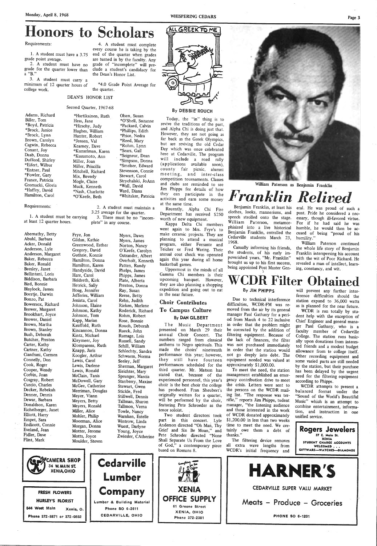## Honors to Scholars

Requirements:

l. A student must have a 3.75 grade point average.

4. A student must complete

every course he is taking by the end of the quarter when grades are turned in by the faculty. Any grade of "incomplete" will preclude a student's candidacy for the Dean's Honor List.

2. A student must have no grade for the quarter lower than a "B."

3. A student must carry a minimum of 12 quarter hours of college work.

\*4.0 Grade Point Average for the quarter.

Adams, Richard Biller, Tom \*Boyd, Patricia \*Brock, Janice \*Brock, Lynn Brown, Carolyn Cagwin, Rebecca Conant, Joy Daab, Donna Dufford, Shirley \*Eifert, Wilbur \*Entner, Paul \*Fowler, Gary France, Patricia Gromacki, Gloria \*Haffey, David Hamilton, Carol

#### Requirements:

3.25 average for the quarter.<br>1. A student must be carrying 3. There must be no "inat least 12 quarter hours. plete" in any course.

#### DEAN'S HONOR LIST

#### Second Quarter, 1967-68

\*Hartikainen, Ruth Hess, Jane \*Hirschy, Judy Hughes, William Hunter, Robert \*Jensen, Val Kearney, Dave \*Kunselman, Karen \*Kusumoto, Ann Miller, Joan Miller, Priscilla Mitchell, Richard Mix, Beverly Mogle, Claire Muck, Kenneth \*Nash, Charlotte \*O'Keefe, Beth

Olsen, Susan \*O'Shell, Suzanne \*Packard, Calvin \*Phillips, Edith \*Price, Nedra \*Reed, Mary \*Rohm, Lynn \*Sears, Gail \*Seigneur, Dean \*Simpson, Donna \*Smelser, Edward Stevenson, Connie Stewart, Carol Strychalski, JoAnn \*Wall, David Ward, Diana \*Whitaker, Patricia

2. A student must maintain a

3. There must be no "incom-

Abernathy, Betty Abuhl, Barbara Acker, Donald Anderson, Lyle Anderson, Margaret Baker, Rebecca Baker, Ronald Beesley, Janet Bellintani, Loris Biddison, Barbara Bird, Bonnie Blaylock, James Boertje, Darwin Bonzo, Pat Bowersox, Richard Brewer, Margaret Brookhart, Joyce Brower, Daniel Brown, Martha Brown, Stanley Bush, Deborah Butcher, Preston Carter, Kathy Cartner, Kathy Cianfrani, Carmen Connelly, Don Cook, Roger Cooper, Wendy Corbin, Joan Cosgray, Robert Curcio, Charles Decker, Rebekah Denner, Dennis Dewar, Barbara Donaldson, Karen Eichelberger, Janet

Frye, Jon Gildan, Kathie Greenwood, Esther Gregory, David Guthrie, Konnie Hamilton, Donna Hamilton, Karen Handyside, David Hare, Carol Heldreth, Kirk Hetrick, Sally Hoag, Jennifer Jefferies, William Jenista, Carol Johnson, Elaine Johnson, Kathy Johnson, Tom Kapp, Marian Kauffold, Ruth Kincannon, Donna Kintz, Michael Kleymeer, Joy Klomparens, Ruth Knapp, Jaris Koogler, Arthur Lewis, Carol Lewis, Darlene-Lewis, Ronald McClain, Tanis McDowell, Gary McGee, Catherine Merriman, Douglas Meyer, Viann Meyers, Betty Meyers, Ronald Miller, Alice Stillwell, Dennis Tallman, Sharon Tallman, Verna Towle, Nancy

Benjamin Franklin, at least his eral. He was proud of such a clothes, looks, mannerisms, and speech strolled onto the stage. William Paterson, metamorphisized into a live historical Benjamin Franklin, entralled the Cedarville students March 23, 1968.

Myers, Dawn Myers, James Norton, Nancy O'Keefe, Carolyn Ostrander, Albert Overholt, Kenneth Patten, Randy Phelps, James Phipps, James Plate, Alberta Preston, Donna Ray, Susan Reese, Betty Rehn, Judith Rieken, Marlene Roderick, Richard Rohm, Robert Rose, Bonnie Rouch, Deborah Rueck, John Rumage, Lois Russell, Sandy Schill, William Schlechty, Sandra Schwarm, Norma Seeley, Jeff Sherman, Margaret Sleichter, Mary Sprunger, Marcia Stanberry, Maxine Stewart, Gwen Stickle, Fred

By DEBBIE ROUCH

### **CDR Filter Obtained** By JIM PHIPPS

ALL GREEK TO ME

Today, the "in" thing is to revive the traditions of the past, and Alpha Chi is doing just that. However, they are not going as far back as the Greek Olympics, but are reviving the old Cedar Day which was once celebrated here at Cedarville, The program will include a road rally (applications available soon), county fair picnic, alumni meeting, and inter-class competition tournaments. Classes and clubs are reminded to see Jim Phipps for details of how they can participate in the activities and earn some money at the same time.

> WCDR attempts to present a balanced format under the "Sound of the World's Beautiful Music" which is an attempt to combine entertainment, information, and instruction in one

Recently, Alpha Chi Fire Department has received \$250 worth of new equipment.

Kappa Delta Chi members went again to Mrs. Frye's to make ceramic projects. They are planning to attend a musical program, either Ferrante and Teicher or Fred Waring. Their annual coat check was operated again this year during all home basketball games.

Uppermost in the minds of all Gamma Chi members is their upcoming banquet. However, they are also planning a shopping expedition and going out to eat in the near future.

### Choir Contributes To Campus Culture By DAN GILBERT

The Music Department presented on March 29 their annual Choir Concert. The numbers ranged from classical anthems to Negro spirituals. This made the choirs' nineteenth performance this year; however, they still have fourteen performances scheduled for the third quarter. Mr. Matson has stated that, because of the experienced personnel, this year's choir is the best choir the college has produced. Fran Sheubert's originally written for a quartet, will be performed by the choir, featuring Pete Schroeder as the tenor soloist.



Page 3



William Paterson as Benjamin Franklin

# $Franklin$  *Relived*

Casually informing his friends, the students, of his early impoverished years, "Mr. Franklin" brought us up to his first success, being appointed Post Master Gen-

Example 1. He was proud of such a<br>annerisms, and post. Pride he considered a nec-<br>nto the stage. essary, though ill-favored virtue.<br>on, metamor- For if he had said he was<br>live historical humble, he would then be ac-<br>n, en

Due to technical interference difficulties, WCDR-FM was removed from the air by its general manager Paul Gathany for a period from March 4 to 22 inclusive in order that the problem might be corrected by the addition of filtering equipment. Because of the lack of finances, the filter was not purchased immediately in order that the station would not go deeply into debt. The equipment needed was valued at approximately \$1,000.00.

To meet the need, the station management established an emergency contribution drive to meet the crisis. Letters were sent to the persons on the WCDR mailing list. "The response was terrific," reports Jim Phipps, tudent manager, "the listening audience and those interested in the work

will prevent any further interference difficulties should the station expand to 36,000 watts as is planned for the near future.

WCDR is run totally by student help with the exception of Chief Engineer and general manager Paul Gathany, who is <sup>a</sup> faculty member of Cedarville College. The station runs basically upon donations from interested friends and a modest budget allowance from te college itself. Other recording equipment and some varied parts are still needed by the station, but their purchase has been delayed by the urgent need for the filtering equipment according to Phipps.